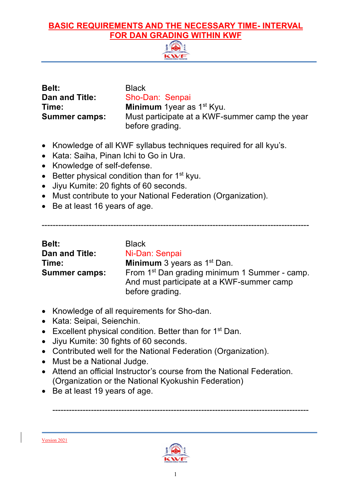

| <b>Belt:</b>          |
|-----------------------|
| <b>Dan and Title:</b> |
| Time:                 |
| <b>Summer camps:</b>  |

**Black Sho-Dan: Senpai Minimum** 1year as 1<sup>st</sup> Kyu. Must participate at a KWF-summer camp the year before grading.

- Knowledge of all KWF syllabus techniques required for all kyu's.
- Kata: Saiha, Pinan Ichi to Go in Ura.
- Knowledge of self-defense.
- $\bullet$  Better physical condition than for 1<sup>st</sup> kyu.
- Jiyu Kumite: 20 fights of 60 seconds.
- Must contribute to your National Federation (Organization).
- Be at least 16 years of age.

-------------------------------------------------------------------------------------------------

| <b>Belt:</b>         | <b>Black</b>                                                                                                              |
|----------------------|---------------------------------------------------------------------------------------------------------------------------|
| Dan and Title:       | Ni-Dan: Senpai                                                                                                            |
| Time:                | <b>Minimum</b> 3 years as $1st$ Dan.                                                                                      |
| <b>Summer camps:</b> | From 1 <sup>st</sup> Dan grading minimum 1 Summer - camp.<br>And must participate at a KWF-summer camp<br>before grading. |

- Knowledge of all requirements for Sho-dan.
- Kata: Seipai, Seienchin.
- Excellent physical condition. Better than for  $1<sup>st</sup>$  Dan.
- Jiyu Kumite: 30 fights of 60 seconds.
- Contributed well for the National Federation (Organization).
- Must be a National Judge.
- Attend an official Instructor's course from the National Federation. (Organization or the National Kyokushin Federation)
- Be at least 19 years of age.



---------------------------------------------------------------------------------------------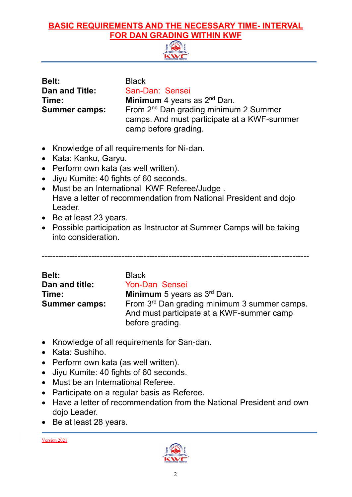

| <b>Belt:</b>          | <b>Black</b>                                                                                                             |
|-----------------------|--------------------------------------------------------------------------------------------------------------------------|
| <b>Dan and Title:</b> | San-Dan: Sensei                                                                                                          |
| Time:                 | <b>Minimum</b> 4 years as $2^{nd}$ Dan.                                                                                  |
| <b>Summer camps:</b>  | From 2 <sup>nd</sup> Dan grading minimum 2 Summer<br>camps. And must participate at a KWF-summer<br>camp before grading. |

- Knowledge of all requirements for Ni-dan.
- Kata: Kanku, Garyu.
- Perform own kata (as well written).
- Jiyu Kumite: 40 fights of 60 seconds.
- Must be an International KWF Referee/Judge . Have a letter of recommendation from National President and dojo Leader.
- Be at least 23 years.
- Possible participation as Instructor at Summer Camps will be taking into consideration.

-------------------------------------------------------------------------------------------------

| <b>Belt:</b>         | <b>Black</b>                                                                                                 |
|----------------------|--------------------------------------------------------------------------------------------------------------|
| Dan and title:       | Yon-Dan Sensei                                                                                               |
| Time:                | <b>Minimum</b> 5 years as $3rd$ Dan.                                                                         |
| <b>Summer camps:</b> | From 3rd Dan grading minimum 3 summer camps.<br>And must participate at a KWF-summer camp<br>before grading. |

- Knowledge of all requirements for San-dan.
- Kata: Sushiho.
- Perform own kata (as well written).
- Jiyu Kumite: 40 fights of 60 seconds.
- Must be an International Referee.
- Participate on a regular basis as Referee.
- Have a letter of recommendation from the National President and own dojo Leader.
- Be at least 28 years.

Version 2021

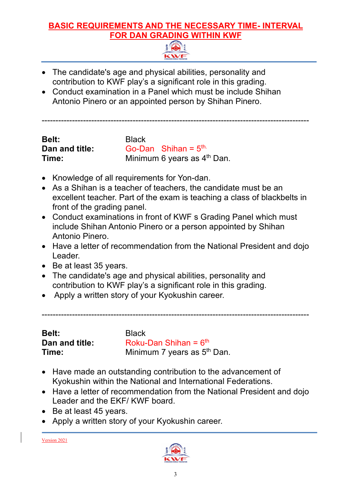

- The candidate's age and physical abilities, personality and contribution to KWF play's a significant role in this grading.
- Conduct examination in a Panel which must be include Shihan Antonio Pinero or an appointed person by Shihan Pinero.

-------------------------------------------------------------------------------------------------

| Belt:          | <b>Black</b>                            |
|----------------|-----------------------------------------|
| Dan and title: | Go-Dan Shihan = $5th$                   |
| Time:          | Minimum 6 years as 4 <sup>th</sup> Dan. |

- Knowledge of all requirements for Yon-dan.
- As a Shihan is a teacher of teachers, the candidate must be an excellent teacher. Part of the exam is teaching a class of blackbelts in front of the grading panel.
- Conduct examinations in front of KWF s Grading Panel which must include Shihan Antonio Pinero or a person appointed by Shihan Antonio Pinero.
- Have a letter of recommendation from the National President and dojo Leader.
- Be at least 35 years.
- The candidate's age and physical abilities, personality and contribution to KWF play's a significant role in this grading.
- Apply a written story of your Kyokushin career.

-------------------------------------------------------------------------------------------------

| <b>Belt:</b>   |  |
|----------------|--|
| Dan and title: |  |
| Time:          |  |

**Black** Roku-Dan Shihan = 6<sup>th</sup> Minimum 7 years as 5<sup>th</sup> Dan.

- Have made an outstanding contribution to the advancement of Kyokushin within the National and International Federations.
- Have a letter of recommendation from the National President and dojo Leader and the EKF/ KWF board.
- Be at least 45 years.
- Apply a written story of your Kyokushin career.

Version 2021

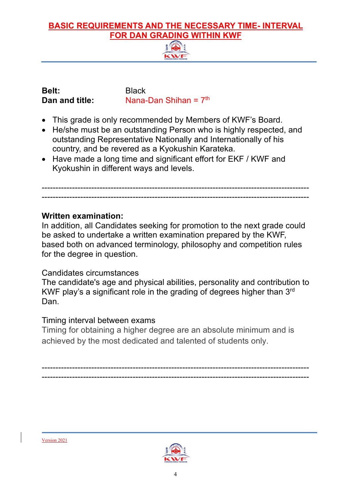| <b>Belt:</b> |                |
|--------------|----------------|
|              | Dan and title: |

**Black Nana-Dan Shihan = 7<sup>th</sup>** 

- This grade is only recommended by Members of KWF's Board.
- He/she must be an outstanding Person who is highly respected, and outstanding Representative Nationally and Internationally of his country, and be revered as a Kyokushin Karateka.
- Have made a long time and significant effort for EKF / KWF and Kyokushin in different ways and levels.

------------------------------------------------------------------------------------------------- -------------------------------------------------------------------------------------------------

#### **Written examination:**

In addition, all Candidates seeking for promotion to the next grade could be asked to undertake a written examination prepared by the KWF, based both on advanced terminology, philosophy and competition rules for the degree in question.

#### Candidates circumstances

The candidate's age and physical abilities, personality and contribution to KWF play's a significant role in the grading of degrees higher than 3rd Dan.

#### Timing interval between exams

Timing for obtaining a higher degree are an absolute minimum and is achieved by the most dedicated and talented of students only.

------------------------------------------------------------------------------------------------- -------------------------------------------------------------------------------------------------



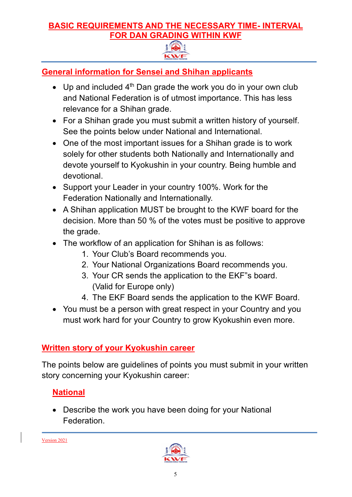

#### **General information for Sensei and Shihan applicants**

- Up and included  $4<sup>th</sup>$  Dan grade the work you do in your own club and National Federation is of utmost importance. This has less relevance for a Shihan grade.
- For a Shihan grade you must submit a written history of yourself. See the points below under National and International.
- One of the most important issues for a Shihan grade is to work solely for other students both Nationally and Internationally and devote yourself to Kyokushin in your country. Being humble and devotional.
- Support your Leader in your country 100%. Work for the Federation Nationally and Internationally.
- A Shihan application MUST be brought to the KWF board for the decision. More than 50 % of the votes must be positive to approve the grade.
- The workflow of an application for Shihan is as follows:
	- 1. Your Club's Board recommends you.
	- 2. Your National Organizations Board recommends you.
	- 3. Your CR sends the application to the EKF"s board. (Valid for Europe only)
	- 4. The EKF Board sends the application to the KWF Board.
- You must be a person with great respect in your Country and you must work hard for your Country to grow Kyokushin even more.

#### **Written story of your Kyokushin career**

The points below are guidelines of points you must submit in your written story concerning your Kyokushin career:

#### **National**

• Describe the work you have been doing for your National Federation.

Version 2021

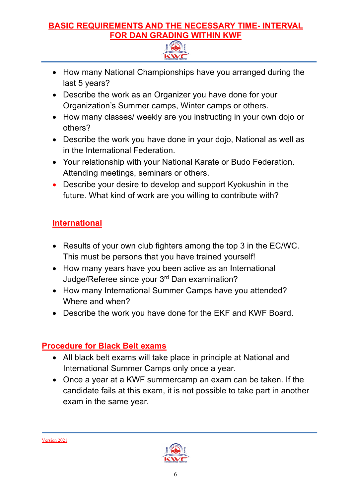

- How many National Championships have you arranged during the last 5 years?
- Describe the work as an Organizer you have done for your Organization's Summer camps, Winter camps or others.
- How many classes/ weekly are you instructing in your own dojo or others?
- Describe the work you have done in your dojo, National as well as in the International Federation.
- Your relationship with your National Karate or Budo Federation. Attending meetings, seminars or others.
- Describe your desire to develop and support Kyokushin in the future. What kind of work are you willing to contribute with?

#### **International**

- Results of your own club fighters among the top 3 in the EC/WC. This must be persons that you have trained yourself!
- How many years have you been active as an International Judge/Referee since your 3rd Dan examination?
- How many International Summer Camps have you attended? Where and when?
- Describe the work you have done for the EKF and KWF Board.

#### **Procedure for Black Belt exams**

- All black belt exams will take place in principle at National and International Summer Camps only once a year.
- Once a year at a KWF summercamp an exam can be taken. If the candidate fails at this exam, it is not possible to take part in another exam in the same year.